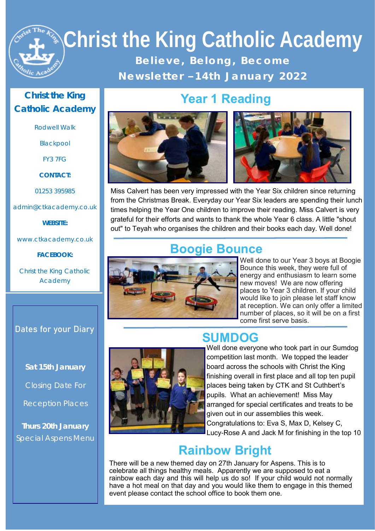# **Christ the King Catholic Academy**  Believe, Belong, Become **N e w s l e t t e r – 1 4 t h J a n u a r y 2 0 2 2**

#### **Christ the King Catholic Academy**

Rodwell Walk

Blackpool

FY3 7FG

**CONTACT:**

01253 395985

admin@ctkacademy.co.uk

**WEBSITE:**

www.ctkacademy.co.uk

**FACEBOOK:**

Christ the King Catholic Academy

#### **Dates for your Diary**

**Sat 15th January**

Closing Date For

Reception Places

**Thurs 20th January** Special Aspens Menu





Miss Calvert has been very impressed with the Year Six children since returning from the Christmas Break. Everyday our Year Six leaders are spending their lunch times helping the Year One children to improve their reading. Miss Calvert is very grateful for their efforts and wants to thank the whole Year 6 class. A little "shout out" to Teyah who organises the children and their books each day. Well done!

**Year 1 Reading**

#### **Boogie Bounce**



Well done to our Year 3 boys at Boogie Bounce this week, they were full of energy and enthusiasm to learn some new moves! We are now offering places to Year 3 children. If your child would like to join please let staff know at reception. We can only offer a limited number of places, so it will be on a first come first serve basis.

#### **SUMDOG**



Well done everyone who took part in our Sumdog competition last month. We topped the leader board across the schools with Christ the King finishing overall in first place and all top ten pupil places being taken by CTK and St Cuthbert's pupils. What an achievement! Miss May arranged for special certificates and treats to be given out in our assemblies this week. Congratulations to: Eva S, Max D, Kelsey C, Lucy-Rose A and Jack M for finishing in the top 10

#### **Rainbow Bright**

There will be a new themed day on 27th January for Aspens. This is to celebrate all things healthy meals. Apparently we are supposed to eat a rainbow each day and this will help us do so! If your child would not normally have a hot meal on that day and you would like them to engage in this themed event please contact the school office to book them one.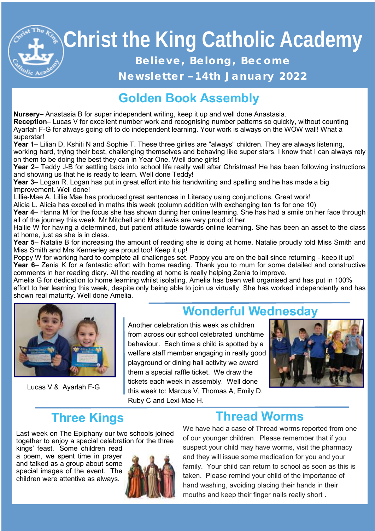# **Christ the King Catholic Academy**  Believe, Belong, Become

Newsletter -14th January 2022

### **Golden Book Assembly**

**Nursery–** Anastasia B for super independent writing, keep it up and well done Anastasia.

**Reception**– Lucas V for excellent number work and recognising number patterns so quickly, without counting Ayarlah F-G for always going off to do independent learning. Your work is always on the WOW wall! What a superstar!

**Year 1**– Lilian D, Kshiti N and Sophie T. These three girlies are "always" children. They are always listening, working hard, trying their best, challenging themselves and behaving like super stars. I know that I can always rely on them to be doing the best they can in Year One. Well done girls!

**Year 2**– Teddy J-B for settling back into school life really well after Christmas! He has been following instructions and showing us that he is ready to learn. Well done Teddy!

**Year 3**– Logan R. Logan has put in great effort into his handwriting and spelling and he has made a big improvement. Well done!

Lillie-Mae A. Lillie Mae has produced great sentences in Literacy using conjunctions. Great work!

Alicia L. Alicia has excelled in maths this week (column addition with exchanging ten 1s for one 10)

**Year 4**– Hanna M for the focus she has shown during her online learning. She has had a smile on her face through all of the journey this week. Mr Mitchell and Mrs Lewis are very proud of her.

Hallie W for having a determined, but patient attitude towards online learning. She has been an asset to the class at home, just as she is in class.

**Year 5**– Natalie B for increasing the amount of reading she is doing at home. Natalie proudly told Miss Smith and Miss Smith and Mrs Kennerley are proud too! Keep it up!

Poppy W for working hard to complete all challenges set. Poppy you are on the ball since returning - keep it up! **Year 6**– Zenia K for a fantastic effort with home reading. Thank you to mum for some detailed and constructive comments in her reading diary. All the reading at home is really helping Zenia to improve.

Amelia G for dedication to home learning whilst isolating. Amelia has been well organised and has put in 100% effort to her learning this week, despite only being able to join us virtually. She has worked independently and has shown real maturity. Well done Amelia.



Lucas V & Ayarlah F-G

#### **Wonderful Wednesday**

Another celebration this week as children from across our school celebrated lunchtime behaviour. Each time a child is spotted by a welfare staff member engaging in really good playground or dining hall activity we award them a special raffle ticket. We draw the tickets each week in assembly. Well done this week to: Marcus V, Thomas A, Emily D, Ruby C and Lexi-Mae H.



#### **Three Kings**

Last week on The Epiphany our two schools joined together to enjoy a special celebration for the three

kings' feast. Some children read a poem, we spent time in prayer and talked as a group about some special images of the event. The children were attentive as always.



#### **Thread Worms**

We have had a case of Thread worms reported from one of our younger children. Please remember that if you suspect your child may have worms, visit the pharmacy and they will issue some medication for you and your family. Your child can return to school as soon as this is taken. Please remind your child of the importance of hand washing, avoiding placing their hands in their mouths and keep their finger nails really short .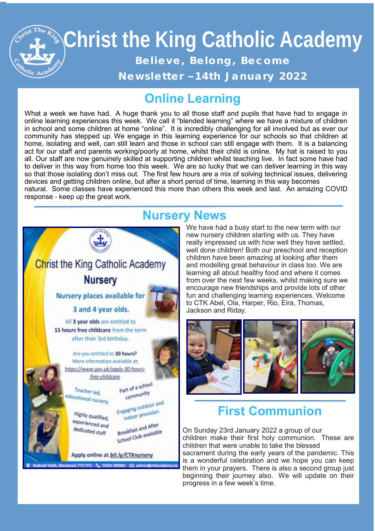# **Christ the King Catholic Academy Christ the King Catholic Academy**  Believe, Belong, Become Newsletter -14th January 2022

#### **Online Learning**

What a week we have had. A huge thank you to all those staff and pupils that have had to engage in online learning experiences this week. We call it "blended learning" where we have a mixture of children in school and some children at home "online". It is incredibly challenging for all involved but as ever our community has stepped up. We engage in this learning experience for our schools so that children at home, isolating and well, can still learn and those in school can still engage with them. It is a balancing act for our staff and parents working/poorly at home, whilst their child is online. My hat is raised to you all. Our staff are now genuinely skilled at supporting children whilst teaching live. In fact some have had to deliver in this way from home too this week. We are so lucky that we can deliver learning in this way so that those isolating don't miss out. The first few hours are a mix of solving technical issues, delivering devices and getting children online, but after a short period of time, learning in this way becomes natural. Some classes have experienced this more than others this week and last. An amazing COVID response - keep up the great work.



#### **Nursery News**

**Blackspool Evening Cool Photo** Event States Stand 4 year olds. Jackson and Riday. We have had a busy start to the new term with our new nursery children starting with us. They have really impressed us with how well they have settled, well done children! Both our preschool and reception children have been amazing at looking after them and modelling great behaviour in class too. We are learning all about healthy food and where it comes from over the next few weeks, whilst making sure we encourage new friendships and provide lots of other fun and challenging learning experiences. Welcome Jackson and Riday.



#### **First Communion**

On Sunday 23rd January 2022 a group of our children make their first holy communion. These are children that were unable to take the blessed

sacrament during the early years of the pandemic. This is a wonderful celebration and we hope you can keep them in your prayers. There is also a second group just beginning their journey also. We will update on their progress in a few week's time.